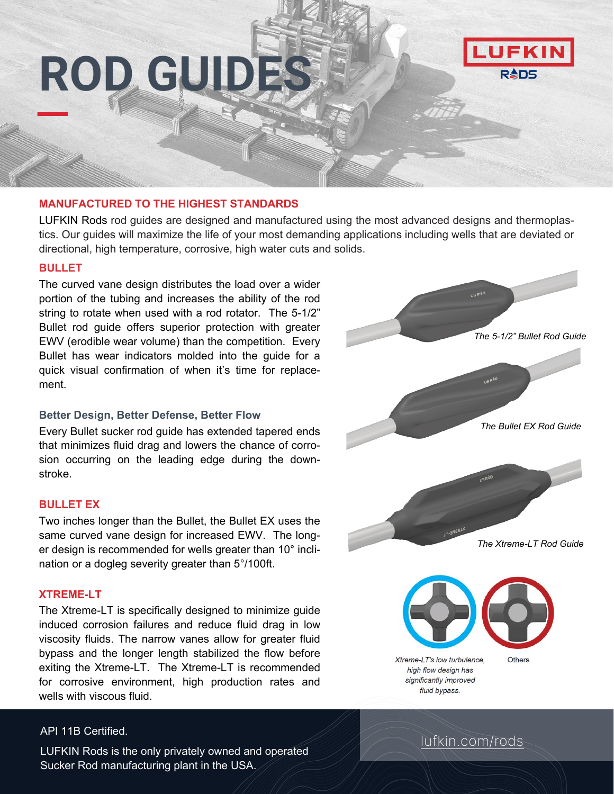# **ROD GUIDES**



### **MANUFACTURED TO THE HIGHEST STANDARDS**

LUFKIN Rods rod guides are designed and manufactured using the most advanced designs and thermoplastics. Our guides will maximize the life of your most demanding applications including wells that are deviated or directional, high temperature, corrosive, high water cuts and solids.

### **BULLET**

The curved vane design distributes the load over a wider portion of the tubing and increases the ability of the rod string to rotate when used with a rod rotator. The 5-1/2" Bullet rod guide offers superior protection with greater EWV (erodible wear volume) than the competition. Every Bullet has wear indicators molded into the guide for a quick visual confirmation of when it's time for replacement.

### **Better Design, Better Defense, Better Flow**

Every Bullet sucker rod guide has extended tapered ends that minimizes fluid drag and lowers the chance of corrosion occurring on the leading edge during the downstroke.

### **BULLET EX**

Two inches longer than the Bullet, the Bullet EX uses the same curved vane design for increased EWV. The longer design is recommended for wells greater than 10° inclination or a dogleg severity greater than 5°/100ft.

### **XTREME-LT**

The Xtreme-LT is specifically designed to minimize guide induced corrosion failures and reduce fluid drag in low viscosity fluids. The narrow vanes allow for greater fluid bypass and the longer length stabilized the flow before exiting the Xtreme-LT. The Xtreme-LT is recommended for corrosive environment, high production rates and wells with viscous fluid.

### API 11B Certified.

LUFKIN Rods is the only privately owned and operated Sucker Rod manufacturing plant in the USA.



[lufkin.com/rods](http://www.lufkin.com/rods)